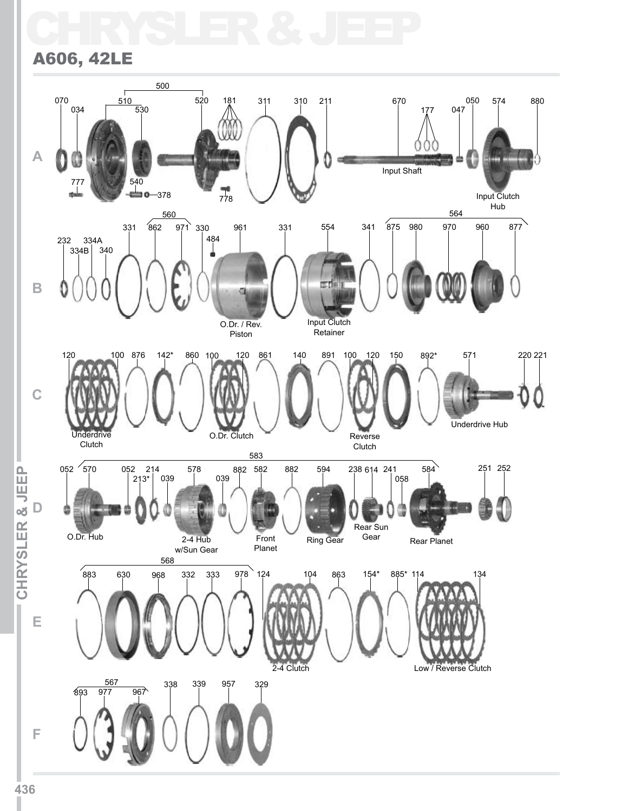## CHRYSLER & JEEP

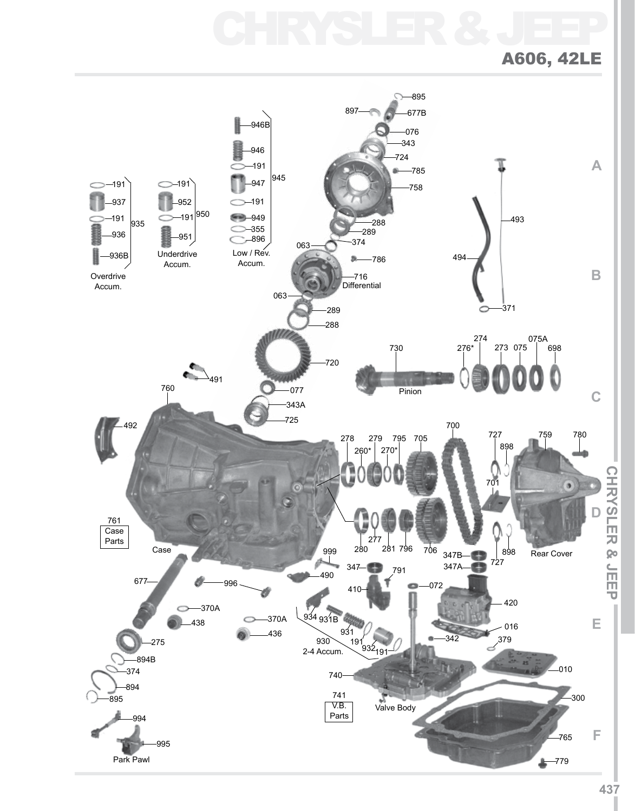# CHRYSLER & JEEP

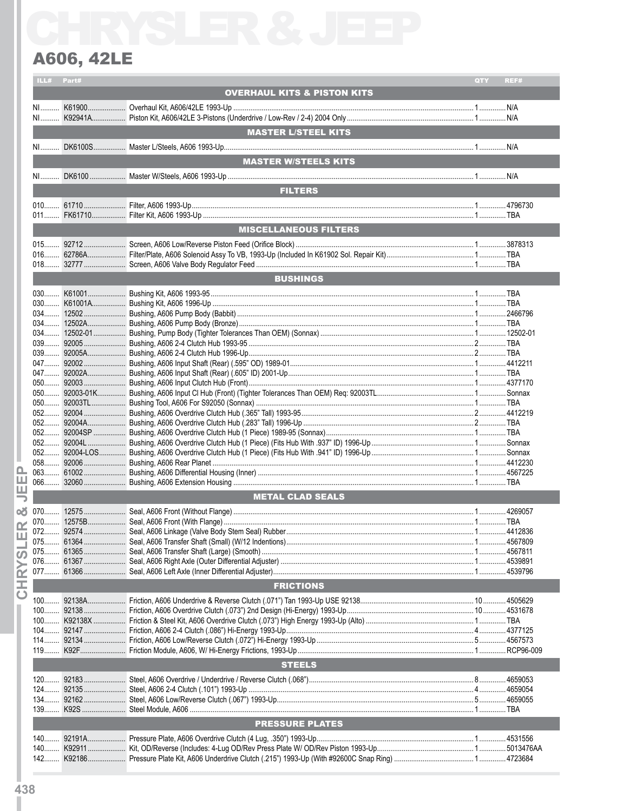# **A606, 42LE**

ILL# Part# QTY **REF# OVERHAUL KITS & PISTON KITS** NI........... K61900.................... Overhaul Kit, A606/42LE 1993-Up ... **MASTER L/STEEL KITS Example 2018 MASTER W/STEELS KITS FILTERS** *CONTRACTE* MISCELLANEOUS FILTERS **EXAMPLE SUSHINGS Excellent METAL CLAD SEALS And CLAD SEALS FRICTIONS STEELS** TRA TRANSPORTED TRANSPORTED TRANSPORTED TRANSPORTED TRANSPORTED TRANSPORTED TRANSPORTED TRANSPORTED TRANSPORTED TRANSPORTED TRANSPORTED TRANSPORTED TRANSPORTED TRANSPORTED TRANSPORTED TRANSPORTED TRANSPORTED TRANSPORTED TR **PRESSURE PLATES** 

ш

۵۸

တ

Ĺ 三〇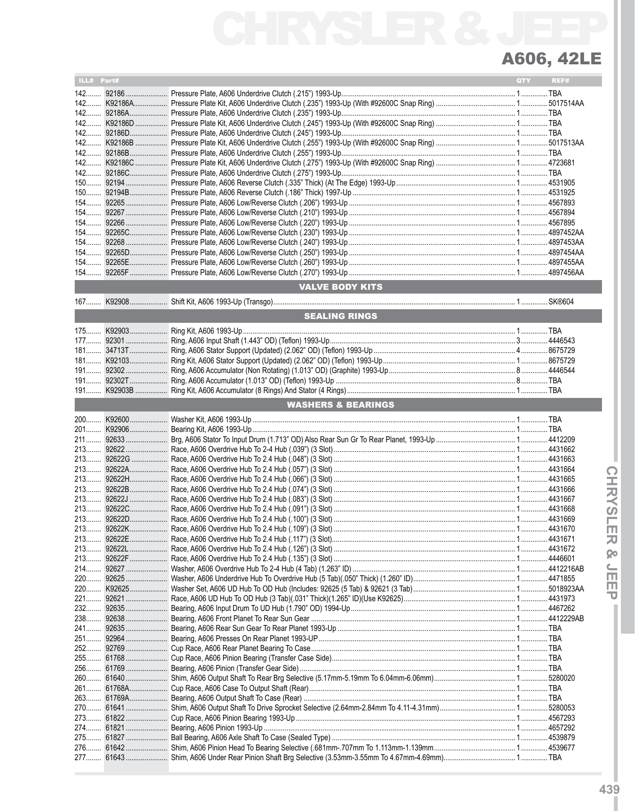#### **A606.42LE**

| ILL# Part# |                               | QTY | REF# |
|------------|-------------------------------|-----|------|
|            |                               |     |      |
|            |                               |     |      |
|            |                               |     |      |
|            |                               |     |      |
|            |                               |     |      |
|            |                               |     |      |
|            |                               |     |      |
|            |                               |     |      |
|            |                               |     |      |
|            |                               |     |      |
|            |                               |     |      |
|            |                               |     |      |
|            |                               |     |      |
|            |                               |     |      |
|            |                               |     |      |
|            |                               |     |      |
|            |                               |     |      |
|            |                               |     |      |
|            |                               |     |      |
|            |                               |     |      |
|            | <b>VALVE BODY KITS</b>        |     |      |
|            |                               |     |      |
|            |                               |     |      |
|            | <b>SEALING RINGS</b>          |     |      |
|            |                               |     |      |
|            |                               |     |      |
|            |                               |     |      |
|            |                               |     |      |
|            |                               |     |      |
|            |                               |     |      |
|            |                               |     |      |
|            |                               |     |      |
|            | <b>WASHERS &amp; BEARINGS</b> |     |      |
|            |                               |     |      |
|            |                               |     |      |
|            |                               |     |      |
|            |                               |     |      |
|            |                               |     |      |
|            |                               |     |      |
|            |                               |     |      |
|            |                               |     |      |
|            |                               |     |      |
|            |                               |     |      |
|            |                               |     |      |
|            |                               |     |      |
|            |                               |     |      |
|            |                               |     |      |
|            |                               |     |      |
| $213$      |                               |     |      |
|            |                               |     |      |
|            |                               |     |      |
|            |                               |     |      |
|            |                               |     |      |
| 221        |                               |     |      |
| 232        |                               |     |      |
|            |                               |     |      |
|            |                               |     |      |
|            |                               |     |      |
| $252$      |                               |     |      |
|            |                               |     |      |
|            |                               |     |      |
|            |                               |     |      |
|            |                               |     |      |
|            |                               |     |      |
|            |                               |     |      |
|            |                               |     |      |
|            |                               |     |      |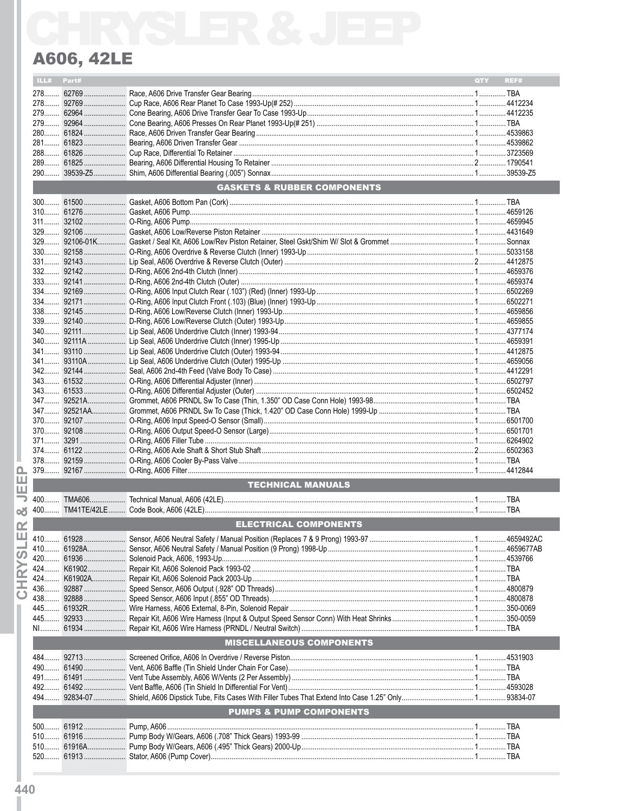|             | ILL# Part# |  |                                        | QTY | REF# |  |  |
|-------------|------------|--|----------------------------------------|-----|------|--|--|
|             |            |  |                                        |     |      |  |  |
|             |            |  |                                        |     |      |  |  |
|             |            |  |                                        |     |      |  |  |
|             |            |  |                                        |     |      |  |  |
|             |            |  |                                        |     |      |  |  |
|             |            |  |                                        |     |      |  |  |
|             |            |  |                                        |     |      |  |  |
|             |            |  |                                        |     |      |  |  |
|             |            |  |                                        |     |      |  |  |
|             |            |  |                                        |     |      |  |  |
|             |            |  | <b>GASKETS &amp; RUBBER COMPONENTS</b> |     |      |  |  |
|             |            |  |                                        |     |      |  |  |
|             |            |  |                                        |     |      |  |  |
|             |            |  |                                        |     |      |  |  |
|             |            |  |                                        |     |      |  |  |
|             |            |  |                                        |     |      |  |  |
|             |            |  |                                        |     |      |  |  |
|             |            |  |                                        |     |      |  |  |
|             |            |  |                                        |     |      |  |  |
|             |            |  |                                        |     |      |  |  |
|             |            |  |                                        |     |      |  |  |
|             |            |  |                                        |     |      |  |  |
|             |            |  |                                        |     |      |  |  |
|             |            |  |                                        |     |      |  |  |
|             |            |  |                                        |     |      |  |  |
|             |            |  |                                        |     |      |  |  |
|             |            |  |                                        |     |      |  |  |
|             |            |  |                                        |     |      |  |  |
|             |            |  |                                        |     |      |  |  |
|             |            |  |                                        |     |      |  |  |
|             |            |  |                                        |     |      |  |  |
|             |            |  |                                        |     |      |  |  |
|             |            |  |                                        |     |      |  |  |
|             |            |  |                                        |     |      |  |  |
|             |            |  |                                        |     |      |  |  |
|             |            |  |                                        |     |      |  |  |
|             |            |  |                                        |     |      |  |  |
| o.          |            |  |                                        |     |      |  |  |
| ш           |            |  | <b>TECHNICAL MANUALS</b>               |     |      |  |  |
| Ш           |            |  |                                        |     |      |  |  |
|             |            |  |                                        |     |      |  |  |
| න්          |            |  |                                        |     |      |  |  |
| $\alpha$    |            |  | <b>ELECTRICAL COMPONENTS</b>           |     |      |  |  |
| ш           |            |  |                                        |     |      |  |  |
|             |            |  |                                        |     |      |  |  |
| ၯ           |            |  |                                        |     |      |  |  |
|             | 424        |  |                                        |     |      |  |  |
| ĺΜ          | 424.       |  |                                        |     |      |  |  |
| H           | $436$      |  |                                        |     |      |  |  |
| $\mathbf C$ | $438$      |  |                                        |     |      |  |  |
|             |            |  |                                        |     |      |  |  |
|             | 445        |  |                                        |     |      |  |  |
|             | NL         |  |                                        |     |      |  |  |
|             |            |  | <b>MISCELLANEOUS COMPONENTS</b>        |     |      |  |  |
|             |            |  |                                        |     |      |  |  |
|             |            |  |                                        |     |      |  |  |
|             | $490$      |  |                                        |     |      |  |  |
|             |            |  |                                        |     |      |  |  |
|             |            |  |                                        |     |      |  |  |
|             |            |  |                                        |     |      |  |  |
|             |            |  | <b>PUMPS &amp; PUMP COMPONENTS</b>     |     |      |  |  |
|             |            |  |                                        |     |      |  |  |
|             |            |  |                                        |     |      |  |  |
|             |            |  |                                        |     |      |  |  |
|             |            |  |                                        |     |      |  |  |
|             |            |  |                                        |     |      |  |  |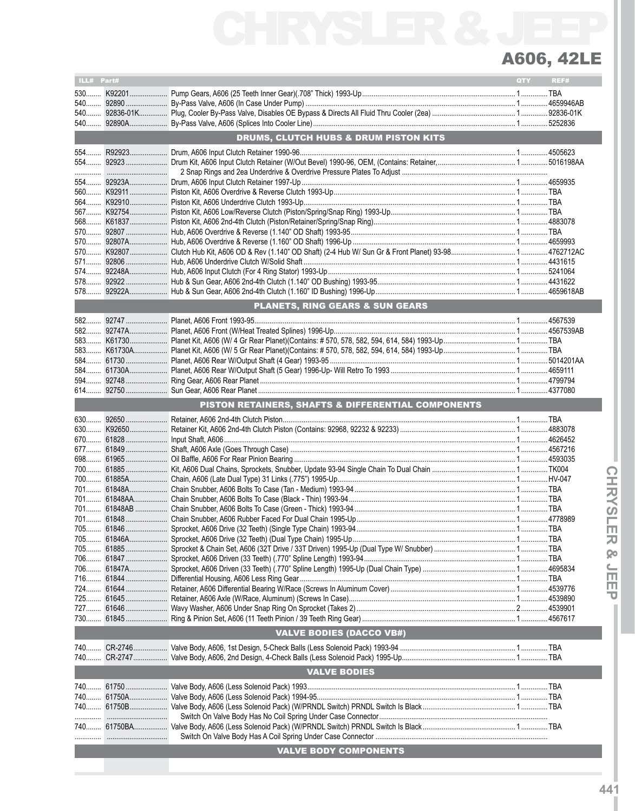## CHRYSLER & JEEP A606, 42LE

| ILL# Part#                      |  |                                                    | QTY | REF# |  |  |
|---------------------------------|--|----------------------------------------------------|-----|------|--|--|
| 530                             |  |                                                    |     |      |  |  |
| 540                             |  |                                                    |     |      |  |  |
|                                 |  |                                                    |     |      |  |  |
|                                 |  |                                                    |     |      |  |  |
|                                 |  |                                                    |     |      |  |  |
|                                 |  | <b>DRUMS, CLUTCH HUBS &amp; DRUM PISTON KITS</b>   |     |      |  |  |
|                                 |  |                                                    |     |      |  |  |
|                                 |  |                                                    |     |      |  |  |
|                                 |  |                                                    |     |      |  |  |
|                                 |  |                                                    |     |      |  |  |
|                                 |  |                                                    |     |      |  |  |
|                                 |  |                                                    |     |      |  |  |
|                                 |  |                                                    |     |      |  |  |
|                                 |  |                                                    |     |      |  |  |
|                                 |  |                                                    |     |      |  |  |
|                                 |  |                                                    |     |      |  |  |
|                                 |  |                                                    |     |      |  |  |
|                                 |  |                                                    |     |      |  |  |
| 570                             |  |                                                    |     |      |  |  |
|                                 |  |                                                    |     |      |  |  |
| $574$                           |  |                                                    |     |      |  |  |
|                                 |  |                                                    |     |      |  |  |
|                                 |  |                                                    |     |      |  |  |
|                                 |  | <b>PLANETS, RING GEARS &amp; SUN GEARS</b>         |     |      |  |  |
|                                 |  |                                                    |     |      |  |  |
|                                 |  |                                                    |     |      |  |  |
|                                 |  |                                                    |     |      |  |  |
|                                 |  |                                                    |     |      |  |  |
|                                 |  |                                                    |     |      |  |  |
|                                 |  |                                                    |     |      |  |  |
|                                 |  |                                                    |     |      |  |  |
|                                 |  |                                                    |     |      |  |  |
|                                 |  |                                                    |     |      |  |  |
|                                 |  |                                                    |     |      |  |  |
|                                 |  | PISTON RETAINERS, SHAFTS & DIFFERENTIAL COMPONENTS |     |      |  |  |
|                                 |  |                                                    |     |      |  |  |
|                                 |  |                                                    |     |      |  |  |
|                                 |  |                                                    |     |      |  |  |
|                                 |  |                                                    |     |      |  |  |
|                                 |  |                                                    |     |      |  |  |
|                                 |  |                                                    |     |      |  |  |
|                                 |  |                                                    |     |      |  |  |
|                                 |  |                                                    |     |      |  |  |
|                                 |  |                                                    |     |      |  |  |
|                                 |  |                                                    |     |      |  |  |
|                                 |  |                                                    |     |      |  |  |
|                                 |  |                                                    |     |      |  |  |
|                                 |  |                                                    |     |      |  |  |
|                                 |  |                                                    |     |      |  |  |
|                                 |  |                                                    |     |      |  |  |
|                                 |  |                                                    |     |      |  |  |
|                                 |  |                                                    |     |      |  |  |
|                                 |  |                                                    |     |      |  |  |
|                                 |  |                                                    |     |      |  |  |
|                                 |  |                                                    |     |      |  |  |
|                                 |  |                                                    |     |      |  |  |
|                                 |  |                                                    |     |      |  |  |
|                                 |  |                                                    |     |      |  |  |
|                                 |  |                                                    |     |      |  |  |
| <b>VALVE BODIES (DACCO VB#)</b> |  |                                                    |     |      |  |  |
|                                 |  |                                                    |     |      |  |  |
|                                 |  |                                                    |     |      |  |  |
|                                 |  | <b>VALVE BODIES</b>                                |     |      |  |  |
|                                 |  |                                                    |     |      |  |  |
|                                 |  |                                                    |     |      |  |  |
|                                 |  |                                                    |     |      |  |  |
|                                 |  |                                                    |     |      |  |  |
|                                 |  |                                                    |     |      |  |  |
|                                 |  |                                                    |     |      |  |  |
|                                 |  |                                                    |     |      |  |  |
|                                 |  |                                                    |     |      |  |  |
|                                 |  | <b>VALVE BODY COMPONENTS</b>                       |     |      |  |  |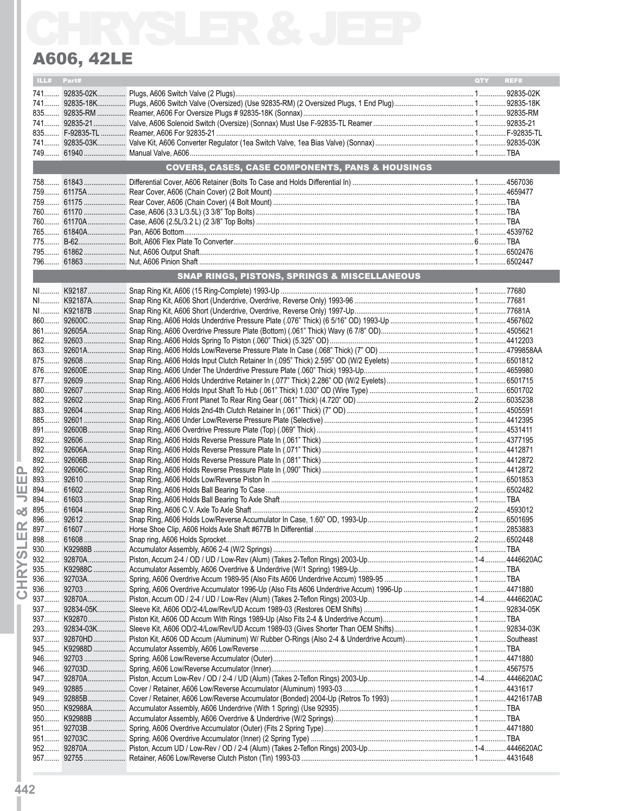| ILL# |       |                                                            |     |      |
|------|-------|------------------------------------------------------------|-----|------|
|      | Part# |                                                            | QTY | REF# |
|      |       |                                                            |     |      |
|      |       |                                                            |     |      |
|      |       |                                                            |     |      |
|      |       |                                                            |     |      |
|      |       |                                                            |     |      |
|      |       |                                                            |     |      |
|      |       |                                                            |     |      |
|      |       | <b>COVERS, CASES, CASE COMPONENTS, PANS &amp; HOUSINGS</b> |     |      |
|      |       |                                                            |     |      |
|      |       |                                                            |     |      |
|      |       |                                                            |     |      |
|      |       |                                                            |     |      |
|      |       |                                                            |     |      |
|      |       |                                                            |     |      |
|      |       |                                                            |     |      |
|      |       |                                                            |     |      |
|      |       | <b>SNAP RINGS, PISTONS, SPRINGS &amp; MISCELLANEOUS</b>    |     |      |
|      |       |                                                            |     |      |
|      |       |                                                            |     |      |
|      |       |                                                            |     |      |
|      |       |                                                            |     |      |
|      |       |                                                            |     |      |
|      |       |                                                            |     |      |
|      |       |                                                            |     |      |
|      |       |                                                            |     |      |
|      |       |                                                            |     |      |
|      |       |                                                            |     |      |
|      |       |                                                            |     |      |
|      |       |                                                            |     |      |
|      |       |                                                            |     |      |
|      |       |                                                            |     |      |
|      |       |                                                            |     |      |
|      |       |                                                            |     |      |
|      |       |                                                            |     |      |
|      |       |                                                            |     |      |
|      |       |                                                            |     |      |
|      |       |                                                            |     |      |
|      |       |                                                            |     |      |
|      |       |                                                            |     |      |
|      |       |                                                            |     |      |
|      |       |                                                            |     |      |
|      |       |                                                            |     |      |
|      |       |                                                            |     |      |
|      |       |                                                            |     |      |
|      |       |                                                            |     |      |
|      |       |                                                            |     |      |
| 936  |       |                                                            |     |      |
|      |       |                                                            |     |      |
|      |       |                                                            |     |      |
|      |       |                                                            |     |      |
|      |       |                                                            |     |      |
|      |       |                                                            |     |      |
|      |       |                                                            |     |      |
|      |       |                                                            |     |      |
|      |       |                                                            |     |      |
|      |       |                                                            |     |      |
|      |       |                                                            |     |      |
|      |       |                                                            |     |      |
|      |       |                                                            |     |      |
|      |       |                                                            |     |      |
|      |       |                                                            |     |      |
|      |       |                                                            |     |      |
|      |       |                                                            |     |      |